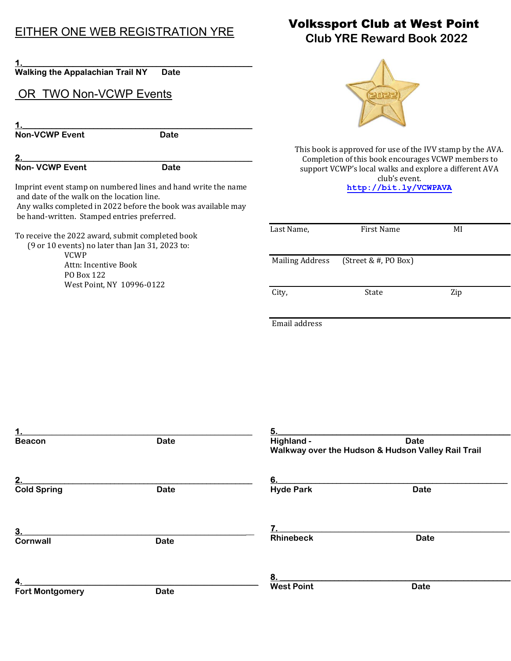## EITHER ONE WEB REGISTRATION YRE

| <b>Walking the Appalachian Trail NY</b>           | Date                                                          |
|---------------------------------------------------|---------------------------------------------------------------|
| OR TWO Non-VCWP Events                            |                                                               |
|                                                   |                                                               |
|                                                   |                                                               |
| <b>Non-VCWP Event</b>                             | Date                                                          |
|                                                   |                                                               |
| <b>Non- VCWP Event</b>                            | Date                                                          |
|                                                   | Imprint event stamp on numbered lines and hand write the name |
| and date of the walk on the location line.        | Any walks completed in 2022 before the book was available may |
| be hand-written. Stamped entries preferred.       |                                                               |
| To receive the 2022 award, submit completed book  |                                                               |
| $(9$ or 10 events) no later than Jan 31, 2023 to: |                                                               |
| VCWP                                              |                                                               |
| Attn: Incentive Book                              |                                                               |

PO Box 122

West Point, NY 10996-0122

 Volkssport Club at West Point Club YRE Reward Book 2022



This book is approved for use of the IVV stamp by the AVA. Completion of this book encourages VCWP members to support VCWP's local walks and explore a different AVA club's event.

http://bit.ly/VCWPAVA

| Last Name,             | First Name           | MI  |
|------------------------|----------------------|-----|
| <b>Mailing Address</b> | (Street & #, PO Box) |     |
| City,                  | State                | Zip |
| Email address          |                      |     |

| 1.                           |             | 5.                                                 |             |  |
|------------------------------|-------------|----------------------------------------------------|-------------|--|
| <b>Beacon</b>                | <b>Date</b> | Highland -                                         | <b>Date</b> |  |
|                              |             | Walkway over the Hudson & Hudson Valley Rail Trail |             |  |
| 2.                           |             | 6.                                                 |             |  |
| <b>Cold Spring</b>           | <b>Date</b> | <b>Hyde Park</b>                                   | <b>Date</b> |  |
|                              |             |                                                    |             |  |
| 3.<br><b>Cornwall</b>        | <b>Date</b> | <b>Rhinebeck</b>                                   | <b>Date</b> |  |
|                              |             | 8.                                                 |             |  |
| 4.<br><b>Fort Montgomery</b> | <b>Date</b> | <b>West Point</b>                                  | <b>Date</b> |  |